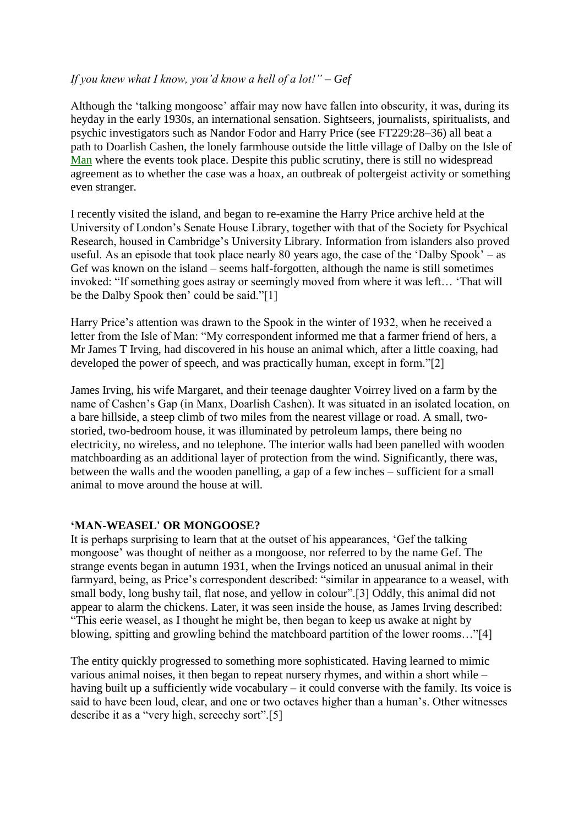## *If you knew what I know, you"d know a hell of a lot!" – Gef*

Although the "talking mongoose" affair may now have fallen into obscurity, it was, during its heyday in the early 1930s, an international sensation. Sightseers, journalists, spiritualists, and psychic investigators such as Nandor Fodor and Harry Price (see FT229:28–36) all beat a path to Doarlish Cashen, the lonely farmhouse outside the little village of Dalby on the Isle of [Man](http://www.forteantimes.com/features/articles/4915/gef_the_talking_mongoose.html) where the events took place. Despite this public scrutiny, there is still no widespread agreement as to whether the case was a hoax, an outbreak of poltergeist activity or something even stranger.

I recently visited the island, and began to re-examine the Harry Price archive held at the University of London"s Senate House Library, together with that of the Society for Psychical Research, housed in Cambridge"s University Library. Information from islanders also proved useful. As an episode that took place nearly 80 years ago, the case of the 'Dalby Spook' – as Gef was known on the island – seems half-forgotten, although the name is still sometimes invoked: "If something goes astray or seemingly moved from where it was left… "That will be the Dalby Spook then' could be said."[1]

Harry Price's attention was drawn to the Spook in the winter of 1932, when he received a letter from the Isle of Man: "My correspondent informed me that a farmer friend of hers, a Mr James T Irving, had discovered in his house an animal which, after a little coaxing, had developed the power of speech, and was practically human, except in form."[2]

James Irving, his wife Margaret, and their teenage daughter Voirrey lived on a farm by the name of Cashen"s Gap (in Manx, Doarlish Cashen). It was situated in an isolated location, on a bare hillside, a steep climb of two miles from the nearest village or road. A small, twostoried, two-bedroom house, it was illuminated by petroleum lamps, there being no electricity, no wireless, and no telephone. The interior walls had been panelled with wooden matchboarding as an additional layer of protection from the wind. Significantly, there was, between the walls and the wooden panelling, a gap of a few inches – sufficient for a small animal to move around the house at will.

### **"MAN-WEASEL' OR MONGOOSE?**

It is perhaps surprising to learn that at the outset of his appearances, "Gef the talking mongoose" was thought of neither as a mongoose, nor referred to by the name Gef. The strange events began in autumn 1931, when the Irvings noticed an unusual animal in their farmyard, being, as Price's correspondent described: "similar in appearance to a weasel, with small body, long bushy tail, flat nose, and yellow in colour".[3] Oddly, this animal did not appear to alarm the chickens. Later, it was seen inside the house, as James Irving described: "This eerie weasel, as I thought he might be, then began to keep us awake at night by blowing, spitting and growling behind the matchboard partition of the lower rooms…"[4]

The entity quickly progressed to something more sophisticated. Having learned to mimic various animal noises, it then began to repeat nursery rhymes, and within a short while – having built up a sufficiently wide vocabulary – it could converse with the family. Its voice is said to have been loud, clear, and one or two octaves higher than a human's. Other witnesses describe it as a "very high, screechy sort".[5]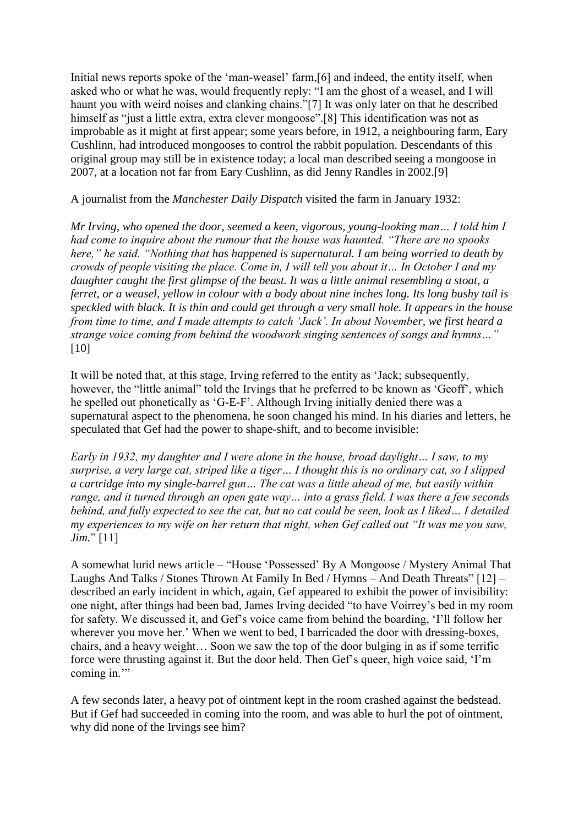Initial news reports spoke of the 'man-weasel' farm, [6] and indeed, the entity itself, when asked who or what he was, would frequently reply: "I am the ghost of a weasel, and I will haunt you with weird noises and clanking chains."[7] It was only later on that he described himself as "just a little extra, extra clever mongoose".<sup>[8]</sup> This identification was not as improbable as it might at first appear; some years before, in 1912, a neighbouring farm, Eary Cushlinn, had introduced mongooses to control the rabbit population. Descendants of this original group may still be in existence today; a local man described seeing a mongoose in 2007, at a location not far from Eary Cushlinn, as did Jenny Randles in 2002.[9]

A journalist from the *Manchester Daily Dispatch* visited the farm in January 1932:

*Mr Irving, who opened the door, seemed a keen, vigorous, young-looking man… I told him I had come to inquire about the rumour that the house was haunted. "There are no spooks here," he said. "Nothing that has happened is supernatural. I am being worried to death by crowds of people visiting the place. Come in, I will tell you about it… In October I and my daughter caught the first glimpse of the beast. It was a little animal resembling a stoat, a ferret, or a weasel, yellow in colour with a body about nine inches long. Its long bushy tail is speckled with black. It is thin and could get through a very small hole. It appears in the house from time to time, and I made attempts to catch "Jack". In about November, we first heard a strange voice coming from behind the woodwork singing sentences of songs and hymns…"* [10]

It will be noted that, at this stage, Irving referred to the entity as "Jack; subsequently, however, the "little animal" told the Irvings that he preferred to be known as "Geoff", which he spelled out phonetically as 'G-E-F'. Although Irving initially denied there was a supernatural aspect to the phenomena, he soon changed his mind. In his diaries and letters, he speculated that Gef had the power to shape-shift, and to become invisible:

*Early in 1932, my daughter and I were alone in the house, broad daylight… I saw, to my surprise, a very large cat, striped like a tiger… I thought this is no ordinary cat, so I slipped a cartridge into my single-barrel gun… The cat was a little ahead of me, but easily within range, and it turned through an open gate way… into a grass field. I was there a few seconds behind, and fully expected to see the cat, but no cat could be seen, look as I liked… I detailed my experiences to my wife on her return that night, when Gef called out "It was me you saw, Jim.*" [11]

A somewhat lurid news article – "House "Possessed" By A Mongoose / Mystery Animal That Laughs And Talks / Stones Thrown At Family In Bed / Hymns – And Death Threats" [12] – described an early incident in which, again, Gef appeared to exhibit the power of invisibility: one night, after things had been bad, James Irving decided "to have Voirrey"s bed in my room for safety. We discussed it, and Gef"s voice came from behind the boarding, "I"ll follow her wherever you move her.' When we went to bed, I barricaded the door with dressing-boxes, chairs, and a heavy weight… Soon we saw the top of the door bulging in as if some terrific force were thrusting against it. But the door held. Then Gef's queer, high voice said, 'I'm coming in."

A few seconds later, a heavy pot of ointment kept in the room crashed against the bedstead. But if Gef had succeeded in coming into the room, and was able to hurl the pot of ointment, why did none of the Irvings see him?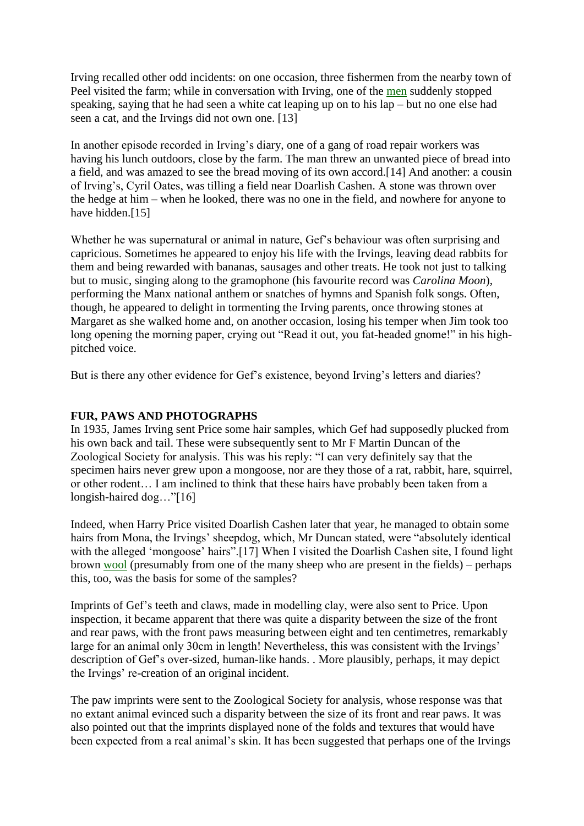Irving recalled other odd incidents: on one occasion, three fishermen from the nearby town of Peel visited the farm; while in conversation with Irving, one of the [men](http://www.forteantimes.com/features/articles/4915/gef_the_talking_mongoose.html) suddenly stopped speaking, saying that he had seen a white cat leaping up on to his lap – but no one else had seen a cat, and the Irvings did not own one. [13]

In another episode recorded in Irving's diary, one of a gang of road repair workers was having his lunch outdoors, close by the farm. The man threw an unwanted piece of bread into a field, and was amazed to see the bread moving of its own accord.[14] And another: a cousin of Irving"s, Cyril Oates, was tilling a field near Doarlish Cashen. A stone was thrown over the hedge at him – when he looked, there was no one in the field, and nowhere for anyone to have hidden.<sup>[15]</sup>

Whether he was supernatural or animal in nature, Gef's behaviour was often surprising and capricious. Sometimes he appeared to enjoy his life with the Irvings, leaving dead rabbits for them and being rewarded with bananas, sausages and other treats. He took not just to talking but to music, singing along to the gramophone (his favourite record was *Carolina Moon*), performing the Manx national anthem or snatches of hymns and Spanish folk songs. Often, though, he appeared to delight in tormenting the Irving parents, once throwing stones at Margaret as she walked home and, on another occasion, losing his temper when Jim took too long opening the morning paper, crying out "Read it out, you fat-headed gnome!" in his highpitched voice.

But is there any other evidence for Gef"s existence, beyond Irving"s letters and diaries?

# **FUR, PAWS AND PHOTOGRAPHS**

In 1935, James Irving sent Price some hair samples, which Gef had supposedly plucked from his own back and tail. These were subsequently sent to Mr F Martin Duncan of the Zoological Society for analysis. This was his reply: "I can very definitely say that the specimen hairs never grew upon a mongoose, nor are they those of a rat, rabbit, hare, squirrel, or other rodent… I am inclined to think that these hairs have probably been taken from a longish-haired dog…"[16]

Indeed, when Harry Price visited Doarlish Cashen later that year, he managed to obtain some hairs from Mona, the Irvings' sheepdog, which, Mr Duncan stated, were "absolutely identical with the alleged 'mongoose' hairs".[17] When I visited the Doarlish Cashen site, I found light brown [wool](http://www.forteantimes.com/features/articles/4915/gef_the_talking_mongoose.html) (presumably from one of the many sheep who are present in the fields) – perhaps this, too, was the basis for some of the samples?

Imprints of Gef"s teeth and claws, made in modelling clay, were also sent to Price. Upon inspection, it became apparent that there was quite a disparity between the size of the front and rear paws, with the front paws measuring between eight and ten centimetres, remarkably large for an animal only 30cm in length! Nevertheless, this was consistent with the Irvings' description of Gef's over-sized, human-like hands. . More plausibly, perhaps, it may depict the Irvings' re-creation of an original incident.

The paw imprints were sent to the Zoological Society for analysis, whose response was that no extant animal evinced such a disparity between the size of its front and rear paws. It was also pointed out that the imprints displayed none of the folds and textures that would have been expected from a real animal's skin. It has been suggested that perhaps one of the Irvings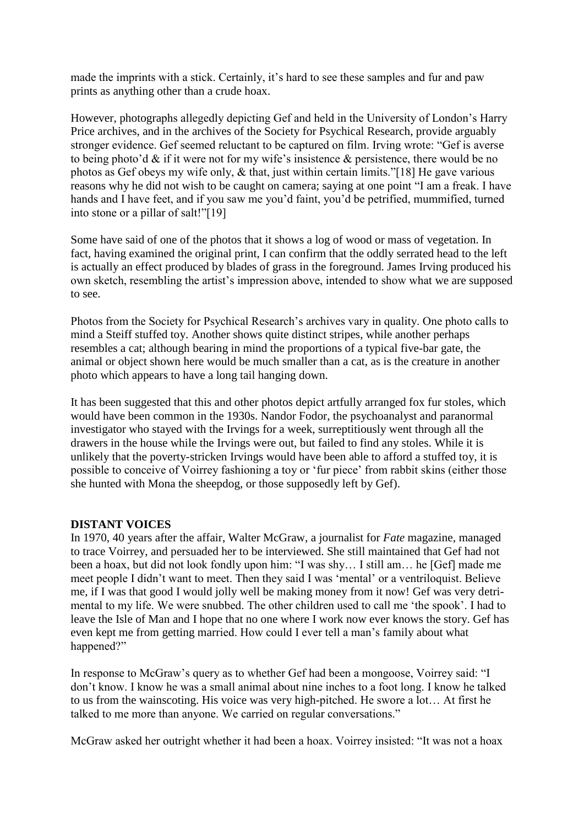made the imprints with a stick. Certainly, it's hard to see these samples and fur and paw prints as anything other than a crude hoax.

However, photographs allegedly depicting Gef and held in the University of London"s Harry Price archives, and in the archives of the Society for Psychical Research, provide arguably stronger evidence. Gef seemed reluctant to be captured on film. Irving wrote: "Gef is averse to being photo'd  $\&$  if it were not for my wife's insistence  $\&$  persistence, there would be no photos as Gef obeys my wife only, & that, just within certain limits."[18] He gave various reasons why he did not wish to be caught on camera; saying at one point "I am a freak. I have hands and I have feet, and if you saw me you"d faint, you"d be petrified, mummified, turned into stone or a pillar of salt!"[19]

Some have said of one of the photos that it shows a log of wood or mass of vegetation. In fact, having examined the original print, I can confirm that the oddly serrated head to the left is actually an effect produced by blades of grass in the foreground. James Irving produced his own sketch, resembling the artist"s impression above, intended to show what we are supposed to see.

Photos from the Society for Psychical Research"s archives vary in quality. One photo calls to mind a Steiff stuffed toy. Another shows quite distinct stripes, while another perhaps resembles a cat; although bearing in mind the proportions of a typical five-bar gate, the animal or object shown here would be much smaller than a cat, as is the creature in another photo which appears to have a long tail hanging down.

It has been suggested that this and other photos depict artfully arranged fox fur stoles, which would have been common in the 1930s. Nandor Fodor, the psychoanalyst and paranormal investigator who stayed with the Irvings for a week, surreptitiously went through all the drawers in the house while the Irvings were out, but failed to find any stoles. While it is unlikely that the poverty-stricken Irvings would have been able to afford a stuffed toy, it is possible to conceive of Voirrey fashioning a toy or 'fur piece' from rabbit skins (either those she hunted with Mona the sheepdog, or those supposedly left by Gef).

### **DISTANT VOICES**

In 1970, 40 years after the affair, Walter McGraw, a journalist for *Fate* magazine, managed to trace Voirrey, and persuaded her to be interviewed. She still maintained that Gef had not been a hoax, but did not look fondly upon him: "I was shy… I still am… he [Gef] made me meet people I didn"t want to meet. Then they said I was "mental" or a ventriloquist. Believe me, if I was that good I would jolly well be making money from it now! Gef was very detrimental to my life. We were snubbed. The other children used to call me "the spook". I had to leave the Isle of Man and I hope that no one where I work now ever knows the story. Gef has even kept me from getting married. How could I ever tell a man"s family about what happened?"

In response to McGraw"s query as to whether Gef had been a mongoose, Voirrey said: "I don"t know. I know he was a small animal about nine inches to a foot long. I know he talked to us from the wainscoting. His voice was very high-pitched. He swore a lot… At first he talked to me more than anyone. We carried on regular conversations."

McGraw asked her outright whether it had been a hoax. Voirrey insisted: "It was not a hoax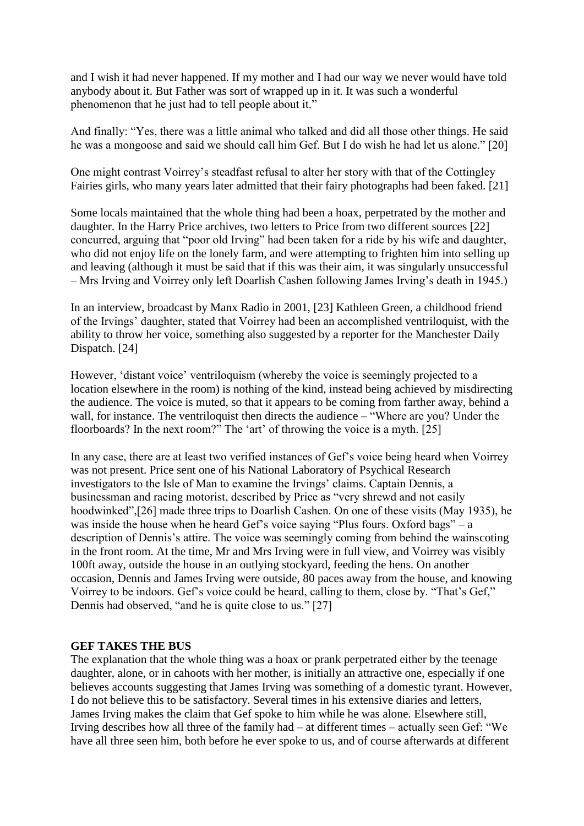and I wish it had never happened. If my mother and I had our way we never would have told anybody about it. But Father was sort of wrapped up in it. It was such a wonderful phenomenon that he just had to tell people about it."

And finally: "Yes, there was a little animal who talked and did all those other things. He said he was a mongoose and said we should call him Gef. But I do wish he had let us alone." [20]

One might contrast Voirrey"s steadfast refusal to alter her story with that of the Cottingley Fairies girls, who many years later admitted that their fairy photographs had been faked. [21]

Some locals maintained that the whole thing had been a hoax, perpetrated by the mother and daughter. In the Harry Price archives, two letters to Price from two different sources [22] concurred, arguing that "poor old Irving" had been taken for a ride by his wife and daughter, who did not enjoy life on the lonely farm, and were attempting to frighten him into selling up and leaving (although it must be said that if this was their aim, it was singularly unsuccessful – Mrs Irving and Voirrey only left Doarlish Cashen following James Irving"s death in 1945.)

In an interview, broadcast by Manx Radio in 2001, [23] Kathleen Green, a childhood friend of the Irvings" daughter, stated that Voirrey had been an accomplished ventriloquist, with the ability to throw her voice, something also suggested by a reporter for the Manchester Daily Dispatch. [24]

However, 'distant voice' ventriloquism (whereby the voice is seemingly projected to a location elsewhere in the room) is nothing of the kind, instead being achieved by misdirecting the audience. The voice is muted, so that it appears to be coming from farther away, behind a wall, for instance. The ventriloquist then directs the audience – "Where are you? Under the floorboards? In the next room?" The 'art' of throwing the voice is a myth. [25]

In any case, there are at least two verified instances of Gef"s voice being heard when Voirrey was not present. Price sent one of his National Laboratory of Psychical Research investigators to the Isle of Man to examine the Irvings" claims. Captain Dennis, a businessman and racing motorist, described by Price as "very shrewd and not easily hoodwinked",[26] made three trips to Doarlish Cashen. On one of these visits (May 1935), he was inside the house when he heard Gef's voice saying "Plus fours. Oxford bags" – a description of Dennis's attire. The voice was seemingly coming from behind the wainscoting in the front room. At the time, Mr and Mrs Irving were in full view, and Voirrey was visibly 100ft away, outside the house in an outlying stockyard, feeding the hens. On another occasion, Dennis and James Irving were outside, 80 paces away from the house, and knowing Voirrey to be indoors. Gef"s voice could be heard, calling to them, close by. "That"s Gef," Dennis had observed, "and he is quite close to us." [27]

#### **GEF TAKES THE BUS**

The explanation that the whole thing was a hoax or prank perpetrated either by the teenage daughter, alone, or in cahoots with her mother, is initially an attractive one, especially if one believes accounts suggesting that James Irving was something of a domestic tyrant. However, I do not believe this to be satisfactory. Several times in his extensive diaries and letters, James Irving makes the claim that Gef spoke to him while he was alone. Elsewhere still, Irving describes how all three of the family had – at different times – actually seen Gef: "We have all three seen him, both before he ever spoke to us, and of course afterwards at different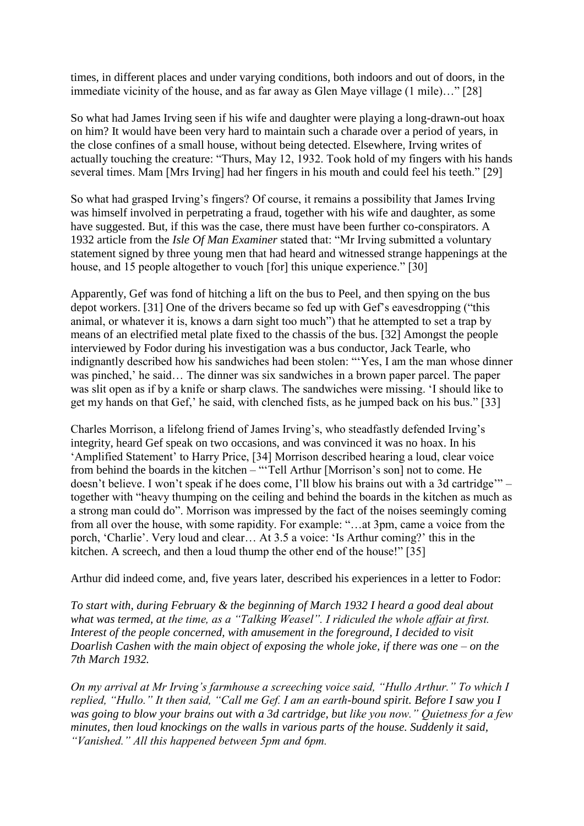times, in different places and under varying conditions, both indoors and out of doors, in the immediate vicinity of the house, and as far away as Glen Maye village (1 mile)…" [28]

So what had James Irving seen if his wife and daughter were playing a long-drawn-out hoax on him? It would have been very hard to maintain such a charade over a period of years, in the close confines of a small house, without being detected. Elsewhere, Irving writes of actually touching the creature: "Thurs, May 12, 1932. Took hold of my fingers with his hands several times. Mam [Mrs Irving] had her fingers in his mouth and could feel his teeth." [29]

So what had grasped Irving"s fingers? Of course, it remains a possibility that James Irving was himself involved in perpetrating a fraud, together with his wife and daughter, as some have suggested. But, if this was the case, there must have been further co-conspirators. A 1932 article from the *Isle Of Man Examiner* stated that: "Mr Irving submitted a voluntary statement signed by three young men that had heard and witnessed strange happenings at the house, and 15 people altogether to vouch [for] this unique experience." [30]

Apparently, Gef was fond of hitching a lift on the bus to Peel, and then spying on the bus depot workers. [31] One of the drivers became so fed up with Gef"s eavesdropping ("this animal, or whatever it is, knows a darn sight too much") that he attempted to set a trap by means of an electrified metal plate fixed to the chassis of the bus. [32] Amongst the people interviewed by Fodor during his investigation was a bus conductor, Jack Tearle, who indignantly described how his sandwiches had been stolen: ""Yes, I am the man whose dinner was pinched,' he said... The dinner was six sandwiches in a brown paper parcel. The paper was slit open as if by a knife or sharp claws. The sandwiches were missing. "I should like to get my hands on that Gef,' he said, with clenched fists, as he jumped back on his bus." [33]

Charles Morrison, a lifelong friend of James Irving"s, who steadfastly defended Irving"s integrity, heard Gef speak on two occasions, and was convinced it was no hoax. In his "Amplified Statement" to Harry Price, [34] Morrison described hearing a loud, clear voice from behind the boards in the kitchen – ""Tell Arthur [Morrison"s son] not to come. He doesn"t believe. I won"t speak if he does come, I"ll blow his brains out with a 3d cartridge"" – together with "heavy thumping on the ceiling and behind the boards in the kitchen as much as a strong man could do". Morrison was impressed by the fact of the noises seemingly coming from all over the house, with some rapidity. For example: "…at 3pm, came a voice from the porch, "Charlie". Very loud and clear… At 3.5 a voice: "Is Arthur coming?" this in the kitchen. A screech, and then a loud thump the other end of the house!" [35]

Arthur did indeed come, and, five years later, described his experiences in a letter to Fodor:

*To start with, during February & the beginning of March 1932 I heard a good deal about what was termed, at the time, as a "Talking Weasel". I ridiculed the whole affair at first. Interest of the people concerned, with amusement in the foreground, I decided to visit Doarlish Cashen with the main object of exposing the whole joke, if there was one – on the 7th March 1932.*

*On my arrival at Mr Irving"s farmhouse a screeching voice said, "Hullo Arthur." To which I replied, "Hullo." It then said, "Call me Gef. I am an earth-bound spirit. Before I saw you I was going to blow your brains out with a 3d cartridge, but like you now." Quietness for a few minutes, then loud knockings on the walls in various parts of the house. Suddenly it said, "Vanished." All this happened between 5pm and 6pm.*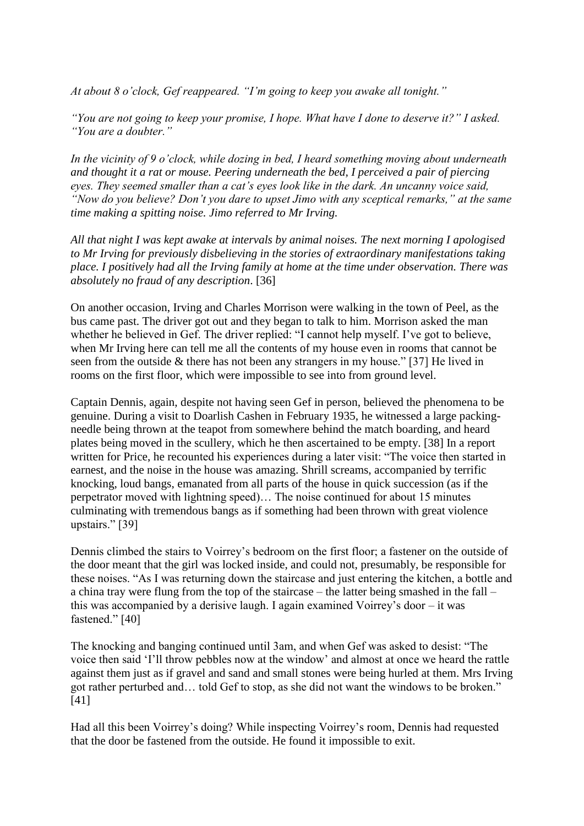*At about 8 o"clock, Gef reappeared. "I"m going to keep you awake all tonight."*

*"You are not going to keep your promise, I hope. What have I done to deserve it?" I asked. "You are a doubter."*

*In the vicinity of 9 o"clock, while dozing in bed, I heard something moving about underneath and thought it a rat or mouse. Peering underneath the bed, I perceived a pair of piercing eyes. They seemed smaller than a cat"s eyes look like in the dark. An uncanny voice said, "Now do you believe? Don"t you dare to upset Jimo with any sceptical remarks," at the same time making a spitting noise. Jimo referred to Mr Irving.*

*All that night I was kept awake at intervals by animal noises. The next morning I apologised to Mr Irving for previously disbelieving in the stories of extraordinary manifestations taking place. I positively had all the Irving family at home at the time under observation. There was absolutely no fraud of any description*. [36]

On another occasion, Irving and Charles Morrison were walking in the town of Peel, as the bus came past. The driver got out and they began to talk to him. Morrison asked the man whether he believed in Gef. The driver replied: "I cannot help myself. I've got to believe, when Mr Irving here can tell me all the contents of my house even in rooms that cannot be seen from the outside & there has not been any strangers in my house." [37] He lived in rooms on the first floor, which were impossible to see into from ground level.

Captain Dennis, again, despite not having seen Gef in person, believed the phenomena to be genuine. During a visit to Doarlish Cashen in February 1935, he witnessed a large packingneedle being thrown at the teapot from somewhere behind the match boarding, and heard plates being moved in the scullery, which he then ascertained to be empty. [38] In a report written for Price, he recounted his experiences during a later visit: "The voice then started in earnest, and the noise in the house was amazing. Shrill screams, accompanied by terrific knocking, loud bangs, emanated from all parts of the house in quick succession (as if the perpetrator moved with lightning speed)… The noise continued for about 15 minutes culminating with tremendous bangs as if something had been thrown with great violence upstairs." [39]

Dennis climbed the stairs to Voirrey's bedroom on the first floor; a fastener on the outside of the door meant that the girl was locked inside, and could not, presumably, be responsible for these noises. "As I was returning down the staircase and just entering the kitchen, a bottle and a china tray were flung from the top of the staircase – the latter being smashed in the fall – this was accompanied by a derisive laugh. I again examined Voirrey"s door – it was fastened." [40]

The knocking and banging continued until 3am, and when Gef was asked to desist: "The voice then said "I"ll throw pebbles now at the window" and almost at once we heard the rattle against them just as if gravel and sand and small stones were being hurled at them. Mrs Irving got rather perturbed and… told Gef to stop, as she did not want the windows to be broken." [41]

Had all this been Voirrey"s doing? While inspecting Voirrey"s room, Dennis had requested that the door be fastened from the outside. He found it impossible to exit.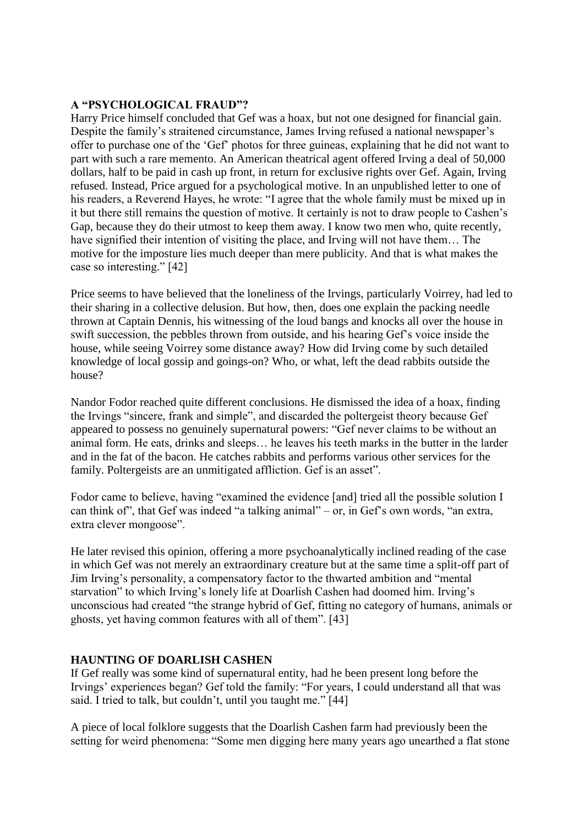## **A "PSYCHOLOGICAL FRAUD"?**

Harry Price himself concluded that Gef was a hoax, but not one designed for financial gain. Despite the family's straitened circumstance, James Irving refused a national newspaper's offer to purchase one of the "Gef" photos for three guineas, explaining that he did not want to part with such a rare memento. An American theatrical agent offered Irving a deal of 50,000 dollars, half to be paid in cash up front, in return for exclusive rights over Gef. Again, Irving refused. Instead, Price argued for a psychological motive. In an unpublished letter to one of his readers, a Reverend Hayes, he wrote: "I agree that the whole family must be mixed up in it but there still remains the question of motive. It certainly is not to draw people to Cashen"s Gap, because they do their utmost to keep them away. I know two men who, quite recently, have signified their intention of visiting the place, and Irving will not have them... The motive for the imposture lies much deeper than mere publicity. And that is what makes the case so interesting." [42]

Price seems to have believed that the loneliness of the Irvings, particularly Voirrey, had led to their sharing in a collective delusion. But how, then, does one explain the packing needle thrown at Captain Dennis, his witnessing of the loud bangs and knocks all over the house in swift succession, the pebbles thrown from outside, and his hearing Gef"s voice inside the house, while seeing Voirrey some distance away? How did Irving come by such detailed knowledge of local gossip and goings-on? Who, or what, left the dead rabbits outside the house?

Nandor Fodor reached quite different conclusions. He dismissed the idea of a hoax, finding the Irvings "sincere, frank and simple", and discarded the poltergeist theory because Gef appeared to possess no genuinely supernatural powers: "Gef never claims to be without an animal form. He eats, drinks and sleeps… he leaves his teeth marks in the butter in the larder and in the fat of the bacon. He catches rabbits and performs various other services for the family. Poltergeists are an unmitigated affliction. Gef is an asset".

Fodor came to believe, having "examined the evidence [and] tried all the possible solution I can think of", that Gef was indeed "a talking animal" – or, in Gef's own words, "an extra, extra clever mongoose".

He later revised this opinion, offering a more psychoanalytically inclined reading of the case in which Gef was not merely an extraordinary creature but at the same time a split-off part of Jim Irving"s personality, a compensatory factor to the thwarted ambition and "mental starvation" to which Irving"s lonely life at Doarlish Cashen had doomed him. Irving"s unconscious had created "the strange hybrid of Gef, fitting no category of humans, animals or ghosts, yet having common features with all of them". [43]

## **HAUNTING OF DOARLISH CASHEN**

If Gef really was some kind of supernatural entity, had he been present long before the Irvings" experiences began? Gef told the family: "For years, I could understand all that was said. I tried to talk, but couldn't, until you taught me." [44]

A piece of local folklore suggests that the Doarlish Cashen farm had previously been the setting for weird phenomena: "Some men digging here many years ago unearthed a flat stone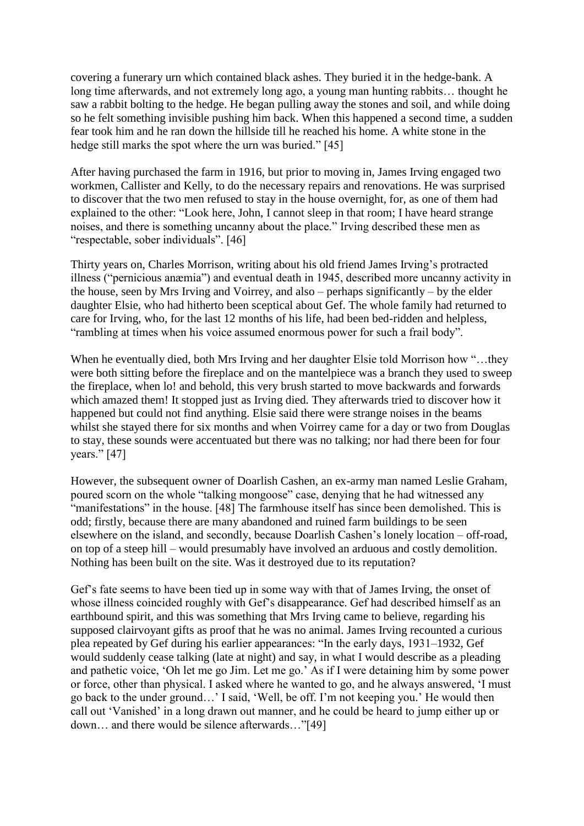covering a funerary urn which contained black ashes. They buried it in the hedge-bank. A long time afterwards, and not extremely long ago, a young man hunting rabbits… thought he saw a rabbit bolting to the hedge. He began pulling away the stones and soil, and while doing so he felt something invisible pushing him back. When this happened a second time, a sudden fear took him and he ran down the hillside till he reached his home. A white stone in the hedge still marks the spot where the urn was buried." [45]

After having purchased the farm in 1916, but prior to moving in, James Irving engaged two workmen, Callister and Kelly, to do the necessary repairs and renovations. He was surprised to discover that the two men refused to stay in the house overnight, for, as one of them had explained to the other: "Look here, John, I cannot sleep in that room; I have heard strange noises, and there is something uncanny about the place." Irving described these men as "respectable, sober individuals". [46]

Thirty years on, Charles Morrison, writing about his old friend James Irving"s protracted illness ("pernicious anæmia") and eventual death in 1945, described more uncanny activity in the house, seen by Mrs Irving and Voirrey, and also – perhaps significantly – by the elder daughter Elsie, who had hitherto been sceptical about Gef. The whole family had returned to care for Irving, who, for the last 12 months of his life, had been bed-ridden and helpless, "rambling at times when his voice assumed enormous power for such a frail body".

When he eventually died, both Mrs Irving and her daughter Elsie told Morrison how "…they were both sitting before the fireplace and on the mantelpiece was a branch they used to sweep the fireplace, when lo! and behold, this very brush started to move backwards and forwards which amazed them! It stopped just as Irving died. They afterwards tried to discover how it happened but could not find anything. Elsie said there were strange noises in the beams whilst she stayed there for six months and when Voirrey came for a day or two from Douglas to stay, these sounds were accentuated but there was no talking; nor had there been for four years." [47]

However, the subsequent owner of Doarlish Cashen, an ex-army man named Leslie Graham, poured scorn on the whole "talking mongoose" case, denying that he had witnessed any "manifestations" in the house. [48] The farmhouse itself has since been demolished. This is odd; firstly, because there are many abandoned and ruined farm buildings to be seen elsewhere on the island, and secondly, because Doarlish Cashen"s lonely location – off-road, on top of a steep hill – would presumably have involved an arduous and costly demolition. Nothing has been built on the site. Was it destroyed due to its reputation?

Gef's fate seems to have been tied up in some way with that of James Irving, the onset of whose illness coincided roughly with Gef"s disappearance. Gef had described himself as an earthbound spirit, and this was something that Mrs Irving came to believe, regarding his supposed clairvoyant gifts as proof that he was no animal. James Irving recounted a curious plea repeated by Gef during his earlier appearances: "In the early days, 1931–1932, Gef would suddenly cease talking (late at night) and say, in what I would describe as a pleading and pathetic voice, "Oh let me go Jim. Let me go." As if I were detaining him by some power or force, other than physical. I asked where he wanted to go, and he always answered, "I must go back to the under ground…" I said, "Well, be off. I"m not keeping you." He would then call out "Vanished" in a long drawn out manner, and he could be heard to jump either up or down… and there would be silence afterwards…"[49]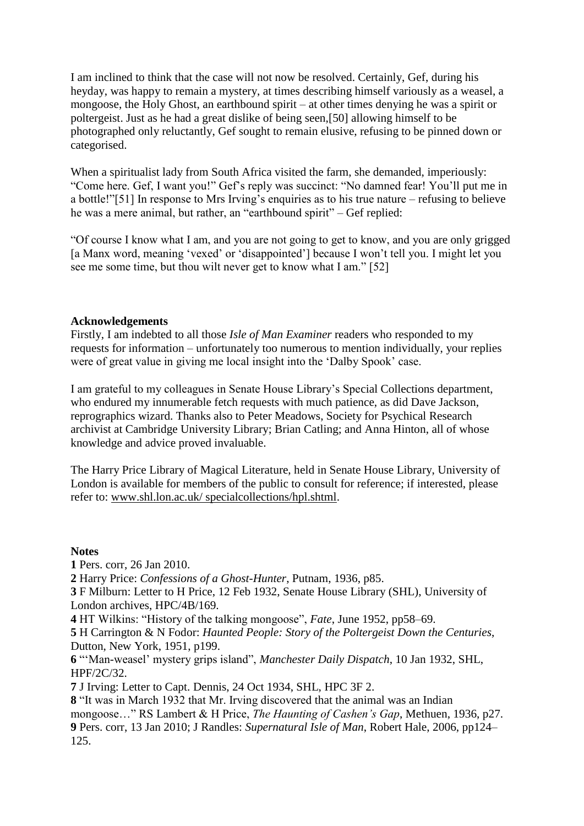I am inclined to think that the case will not now be resolved. Certainly, Gef, during his heyday, was happy to remain a mystery, at times describing himself variously as a weasel, a mongoose, the Holy Ghost, an earthbound spirit – at other times denying he was a spirit or poltergeist. Just as he had a great dislike of being seen,[50] allowing himself to be photographed only reluctantly, Gef sought to remain elusive, refusing to be pinned down or categorised.

When a spiritualist lady from South Africa visited the farm, she demanded, imperiously: "Come here. Gef, I want you!" Gef"s reply was succinct: "No damned fear! You"ll put me in a bottle!"[51] In response to Mrs Irving's enquiries as to his true nature – refusing to believe he was a mere animal, but rather, an "earthbound spirit" – Gef replied:

"Of course I know what I am, and you are not going to get to know, and you are only grigged [a Manx word, meaning 'vexed' or 'disappointed'] because I won't tell you. I might let you see me some time, but thou wilt never get to know what I am." [52]

### **Acknowledgements**

Firstly, I am indebted to all those *Isle of Man Examiner* readers who responded to my requests for information – unfortunately too numerous to mention individually, your replies were of great value in giving me local insight into the "Dalby Spook" case.

I am grateful to my colleagues in Senate House Library"s Special Collections department, who endured my innumerable fetch requests with much patience, as did Dave Jackson, reprographics wizard. Thanks also to Peter Meadows, Society for Psychical Research archivist at Cambridge University Library; Brian Catling; and Anna Hinton, all of whose knowledge and advice proved invaluable.

The Harry Price Library of Magical Literature, held in Senate House Library, University of London is available for members of the public to consult for reference; if interested, please refer to: [www.shl.lon.ac.uk/ specialcollections/hpl.shtml.](http://www.shl.lon.ac.uk/specialcollections/hpl.shtml)

#### **Notes**

**1** Pers. corr, 26 Jan 2010.

**2** Harry Price: *Confessions of a Ghost-Hunter*, Putnam, 1936, p85.

**3** F Milburn: Letter to H Price, 12 Feb 1932, Senate House Library (SHL), University of London archives, HPC/4B/169.

**4** HT Wilkins: "History of the talking mongoose", *Fate*, June 1952, pp58–69.

**5** H Carrington & N Fodor: *Haunted People: Story of the Poltergeist Down the Centuries*, Dutton, New York, 1951, p199.

**6** ""Man-weasel" mystery grips island", *Manchester Daily Dispatch*, 10 Jan 1932, SHL, HPF/2C/32.

**7** J Irving: Letter to Capt. Dennis, 24 Oct 1934, SHL, HPC 3F 2.

**8** "It was in March 1932 that Mr. Irving discovered that the animal was an Indian mongoose…" RS Lambert & H Price, *The Haunting of Cashen"s Gap*, Methuen, 1936, p27. **9** Pers. corr, 13 Jan 2010; J Randles: *Supernatural Isle of Man*, Robert Hale, 2006, pp124– 125.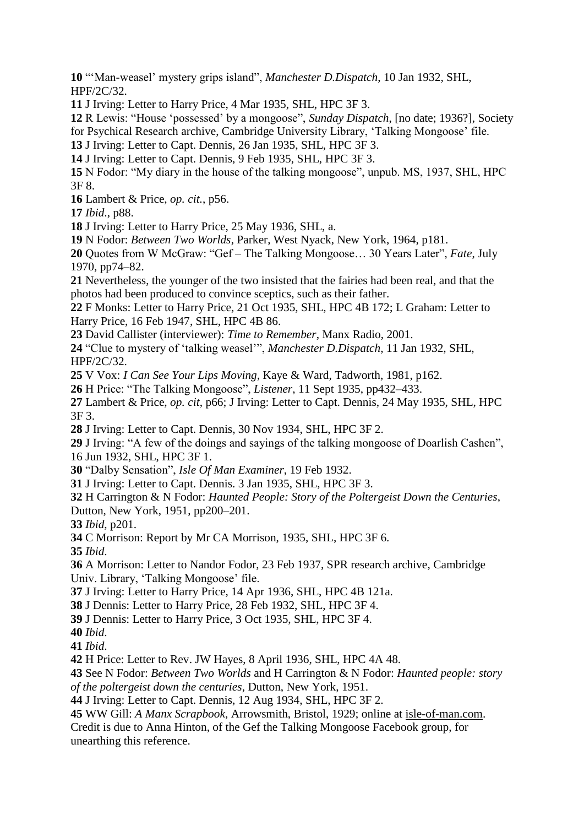""Man-weasel" mystery grips island", *Manchester D.Dispatch*, 10 Jan 1932, SHL, HPF/2C/32.

J Irving: Letter to Harry Price, 4 Mar 1935, SHL, HPC 3F 3.

 R Lewis: "House "possessed" by a mongoose", *Sunday Dispatch*, [no date; 1936?], Society for Psychical Research archive, Cambridge University Library, "Talking Mongoose" file.

J Irving: Letter to Capt. Dennis, 26 Jan 1935, SHL, HPC 3F 3.

J Irving: Letter to Capt. Dennis, 9 Feb 1935, SHL, HPC 3F 3.

 N Fodor: "My diary in the house of the talking mongoose", unpub. MS, 1937, SHL, HPC 3F 8.

Lambert & Price, *op. cit.*, p56.

*Ibid*., p88.

J Irving: Letter to Harry Price, 25 May 1936, SHL, a.

N Fodor: *Between Two Worlds*, Parker, West Nyack, New York, 1964, p181.

 Quotes from W McGraw: "Gef – The Talking Mongoose… 30 Years Later", *Fate*, July 1970, pp74–82.

 Nevertheless, the younger of the two insisted that the fairies had been real, and that the photos had been produced to convince sceptics, such as their father.

 F Monks: Letter to Harry Price, 21 Oct 1935, SHL, HPC 4B 172; L Graham: Letter to Harry Price, 16 Feb 1947, SHL, HPC 4B 86.

David Callister (interviewer): *Time to Remember*, Manx Radio, 2001.

 "Clue to mystery of "talking weasel"", *Manchester D.Dispatch*, 11 Jan 1932, SHL, HPF/2C/32.

V Vox: *I Can See Your Lips Moving*, Kaye & Ward, Tadworth, 1981, p162.

H Price: "The Talking Mongoose", *Listener*, 11 Sept 1935, pp432–433.

 Lambert & Price, *op. cit*, p66; J Irving: Letter to Capt. Dennis, 24 May 1935, SHL, HPC 3F 3.

J Irving: Letter to Capt. Dennis, 30 Nov 1934, SHL, HPC 3F 2.

 J Irving: "A few of the doings and sayings of the talking mongoose of Doarlish Cashen", 16 Jun 1932, SHL, HPC 3F 1.

"Dalby Sensation", *Isle Of Man Examiner*, 19 Feb 1932.

J Irving: Letter to Capt. Dennis. 3 Jan 1935, SHL, HPC 3F 3.

 H Carrington & N Fodor: *Haunted People: Story of the Poltergeist Down the Centuries*, Dutton, New York, 1951, pp200–201.

*Ibid*, p201.

C Morrison: Report by Mr CA Morrison, 1935, SHL, HPC 3F 6.

*Ibid*.

 A Morrison: Letter to Nandor Fodor, 23 Feb 1937, SPR research archive, Cambridge Univ. Library, "Talking Mongoose" file.

J Irving: Letter to Harry Price, 14 Apr 1936, SHL, HPC 4B 121a.

J Dennis: Letter to Harry Price, 28 Feb 1932, SHL, HPC 3F 4.

J Dennis: Letter to Harry Price, 3 Oct 1935, SHL, HPC 3F 4.

*Ibid*.

*Ibid*.

H Price: Letter to Rev. JW Hayes, 8 April 1936, SHL, HPC 4A 48.

 See N Fodor: *Between Two Worlds* and H Carrington & N Fodor: *Haunted people: story of the poltergeist down the centuries*, Dutton, New York, 1951.

J Irving: Letter to Capt. Dennis, 12 Aug 1934, SHL, HPC 3F 2.

 WW Gill: *A Manx Scrapbook*, Arrowsmith, Bristol, 1929; online at [isle-of-man.com.](http://www.isle-of-man.com/manxnotebook/fulltext/scrap1/ch04_pk.htm) Credit is due to Anna Hinton, of the Gef the Talking Mongoose Facebook group, for unearthing this reference.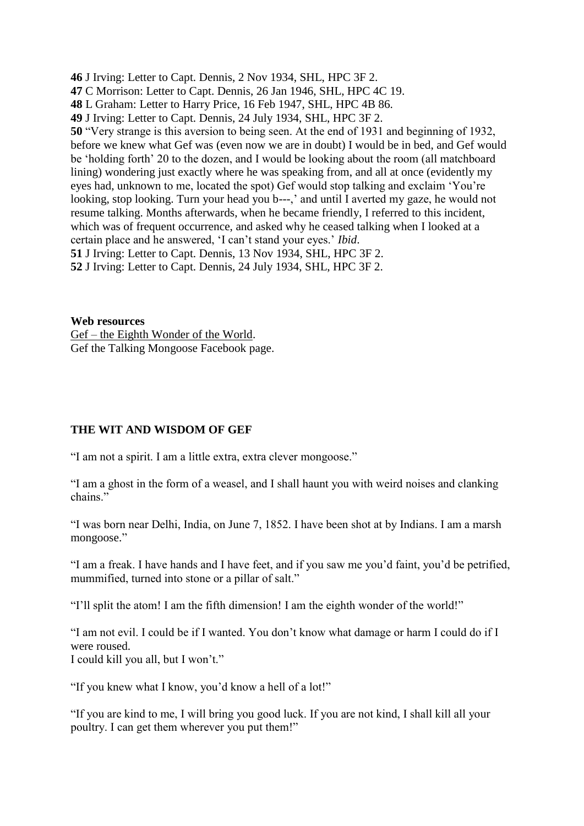**46** J Irving: Letter to Capt. Dennis, 2 Nov 1934, SHL, HPC 3F 2. **47** C Morrison: Letter to Capt. Dennis, 26 Jan 1946, SHL, HPC 4C 19. **48** L Graham: Letter to Harry Price, 16 Feb 1947, SHL, HPC 4B 86. **49** J Irving: Letter to Capt. Dennis, 24 July 1934, SHL, HPC 3F 2. **50** "Very strange is this aversion to being seen. At the end of 1931 and beginning of 1932, before we knew what Gef was (even now we are in doubt) I would be in bed, and Gef would be 'holding forth' 20 to the dozen, and I would be looking about the room (all matchboard lining) wondering just exactly where he was speaking from, and all at once (evidently my eyes had, unknown to me, located the spot) Gef would stop talking and exclaim "You"re looking, stop looking. Turn your head you b---,' and until I averted my gaze, he would not resume talking. Months afterwards, when he became friendly, I referred to this incident, which was of frequent occurrence, and asked why he ceased talking when I looked at a certain place and he answered, "I can"t stand your eyes." *Ibid*. **51** J Irving: Letter to Capt. Dennis, 13 Nov 1934, SHL, HPC 3F 2.

**52** J Irving: Letter to Capt. Dennis, 24 July 1934, SHL, HPC 3F 2.

**Web resources** Gef – [the Eighth Wonder of the World.](http://dalbyspook.110mb.com/index.html) Gef the Talking Mongoose Facebook page.

#### **THE WIT AND WISDOM OF GEF**

"I am not a spirit. I am a little extra, extra clever mongoose."

"I am a ghost in the form of a weasel, and I shall haunt you with weird noises and clanking chains."

"I was born near Delhi, India, on June 7, 1852. I have been shot at by Indians. I am a marsh mongoose."

"I am a freak. I have hands and I have feet, and if you saw me you"d faint, you"d be petrified, mummified, turned into stone or a pillar of salt."

"I"ll split the atom! I am the fifth dimension! I am the eighth wonder of the world!"

"I am not evil. I could be if I wanted. You don"t know what damage or harm I could do if I were roused. I could kill you all, but I won"t."

"If you knew what I know, you"d know a hell of a lot!"

"If you are kind to me, I will bring you good luck. If you are not kind, I shall kill all your poultry. I can get them wherever you put them!"